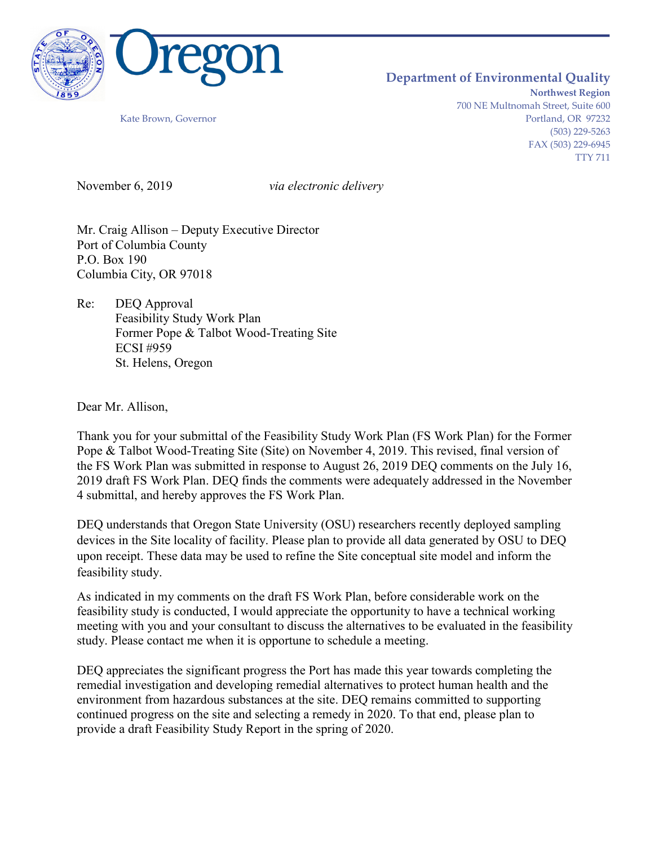

## **Department of Environmental Quality**

**Northwest Region** 700 NE Multnomah Street, Suite 600 Kate Brown, Governor **Portland, OR 97232** (503) 229-5263 FAX (503) 229-6945 TTY 711

November 6, 2019 *via electronic delivery*

Mr. Craig Allison – Deputy Executive Director Port of Columbia County P.O. Box 190 Columbia City, OR 97018

Re: DEQ Approval Feasibility Study Work Plan Former Pope & Talbot Wood-Treating Site ECSI #959 St. Helens, Oregon

Dear Mr. Allison,

Thank you for your submittal of the Feasibility Study Work Plan (FS Work Plan) for the Former Pope & Talbot Wood-Treating Site (Site) on November 4, 2019. This revised, final version of the FS Work Plan was submitted in response to August 26, 2019 DEQ comments on the July 16, 2019 draft FS Work Plan. DEQ finds the comments were adequately addressed in the November 4 submittal, and hereby approves the FS Work Plan.

DEQ understands that Oregon State University (OSU) researchers recently deployed sampling devices in the Site locality of facility. Please plan to provide all data generated by OSU to DEQ upon receipt. These data may be used to refine the Site conceptual site model and inform the feasibility study.

As indicated in my comments on the draft FS Work Plan, before considerable work on the feasibility study is conducted, I would appreciate the opportunity to have a technical working meeting with you and your consultant to discuss the alternatives to be evaluated in the feasibility study. Please contact me when it is opportune to schedule a meeting.

DEQ appreciates the significant progress the Port has made this year towards completing the remedial investigation and developing remedial alternatives to protect human health and the environment from hazardous substances at the site. DEQ remains committed to supporting continued progress on the site and selecting a remedy in 2020. To that end, please plan to provide a draft Feasibility Study Report in the spring of 2020.